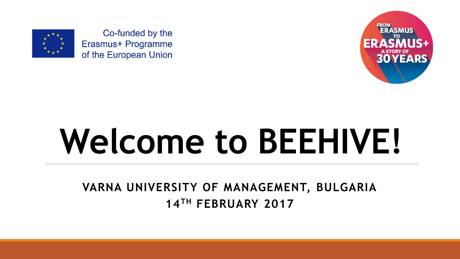

Co-funded by the Erasmus+ Programme of the European Union



# **Welcome to BEEHIVE!**

**VARNA UNIVERSITY OF MANAGEMENT, BULGARIA 14TH FEBRUARY 2017**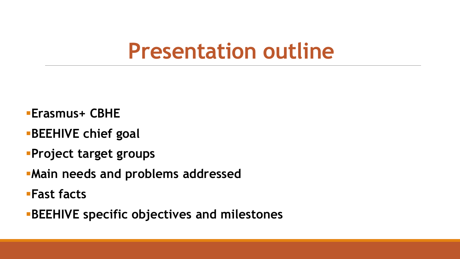#### **Presentation outline**

- **Erasmus+ CBHE**
- **BEEHIVE chief goal**
- **Project target groups**
- **Main needs and problems addressed**
- **Fast facts**
- **BEEHIVE specific objectives and milestones**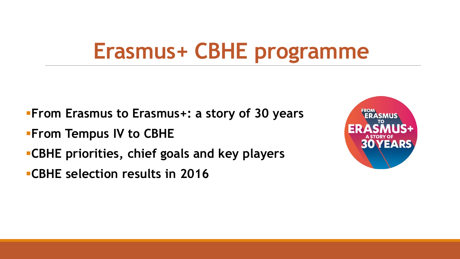#### **Erasmus+ CBHE programme**

- **From Erasmus to Erasmus+: a story of 30 years**
- **From Tempus IV to CBHE**
- **CBHE priorities, chief goals and key players**
- **CBHE selection results in 2016**

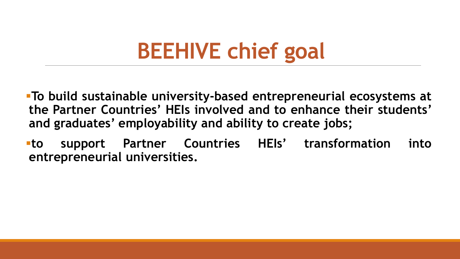## **BEEHIVE chief goal**

- **To build sustainable university-based entrepreneurial ecosystems at the Partner Countries' HEIs involved and to enhance their students' and graduates' employability and ability to create jobs;**
- **to support Partner Countries HEIs' transformation into entrepreneurial universities.**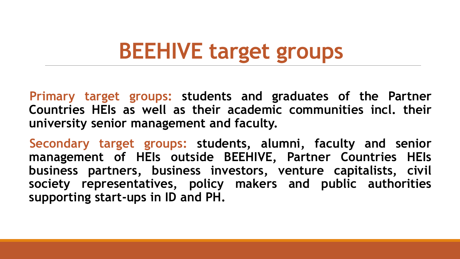## **BEEHIVE target groups**

**Primary target groups: students and graduates of the Partner Countries HEIs as well as their academic communities incl. their university senior management and faculty.**

**Secondary target groups: students, alumni, faculty and senior management of HEIs outside BEEHIVE, Partner Countries HEIs business partners, business investors, venture capitalists, civil society representatives, policy makers and public authorities supporting start-ups in ID and PH.**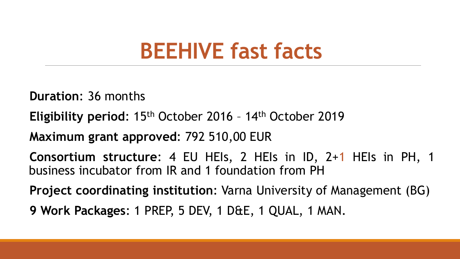#### **BEEHIVE fast facts**

**Duration**: 36 months

**Eligibility period**: 15th October 2016 – 14th October 2019

**Maximum grant approved**: 792 510,00 EUR

**Consortium structure**: 4 EU HEIs, 2 HEIs in ID, 2+1 HEIs in PH, 1 business incubator from IR and 1 foundation from PH

**Project coordinating institution**: Varna University of Management (BG) **9 Work Packages**: 1 PREP, 5 DEV, 1 D&E, 1 QUAL, 1 MAN.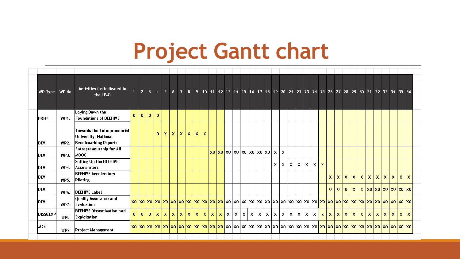#### **Project Gantt chart**

| WP Type      | WP No | Activities (as indicated in<br>the LFM)                                     |              | $\mathbf{Z}$ | $3 \quad 4$  |              |              |              |                 |              |             |              |              |              |              |              |                         |              |              |              |              |              |   |            |              |     |              |              |              |              |              |             |              |             | 5 6 7 8 9 10 11 12 13 14 15 16 17 18 19 20 21 22 23 24 25 26 27 28 29 30 31 32 33 34 35 36                                     |                           |              |              |  |
|--------------|-------|-----------------------------------------------------------------------------|--------------|--------------|--------------|--------------|--------------|--------------|-----------------|--------------|-------------|--------------|--------------|--------------|--------------|--------------|-------------------------|--------------|--------------|--------------|--------------|--------------|---|------------|--------------|-----|--------------|--------------|--------------|--------------|--------------|-------------|--------------|-------------|--------------------------------------------------------------------------------------------------------------------------------|---------------------------|--------------|--------------|--|
| <b>IPREP</b> | WP1.  | Laying Down the<br><b>Foundations of BEEHIVE</b>                            | $\mathbf{0}$ | $\bf{0}$     | $\mathbf{0}$ | $\mathbf{0}$ |              |              |                 |              |             |              |              |              |              |              |                         |              |              |              |              |              |   |            |              |     |              |              |              |              |              |             |              |             |                                                                                                                                |                           |              |              |  |
| <b>DEV</b>   | WP2.  | Towards the Entrepreneurial<br>University: National<br>Benchmarking Reports |              |              |              | $\mathbf{0}$ | $\mathsf{x}$ | $\mathbf{x}$ | $\vert x \vert$ | $\mathbf{x}$ | $\mathsf X$ | $\mathbf x$  |              |              |              |              |                         |              |              |              |              |              |   |            |              |     |              |              |              |              |              |             |              |             |                                                                                                                                |                           |              |              |  |
| <b>DEV</b>   | WP3.  | <b>Entrepreneurship for All</b><br><b>MOOC</b>                              |              |              |              |              |              |              |                 |              |             |              |              |              |              |              | X0 X0 X0 X0 X0 X0 X0 X0 |              |              |              | x            | X            |   |            |              |     |              |              |              |              |              |             |              |             |                                                                                                                                |                           |              |              |  |
| <b>IDEV</b>  | WP4.  | <b>Setting Up the BEEHIVE</b><br>Accelerators                               |              |              |              |              |              |              |                 |              |             |              |              |              |              |              |                         |              |              |              | X            | х            | x | X          | x            | X   | x            |              |              |              |              |             |              |             |                                                                                                                                |                           |              |              |  |
| <b>IDEV</b>  | WP5.  | <b>BEEHIVE Accelerators</b><br><b>Piloting</b>                              |              |              |              |              |              |              |                 |              |             |              |              |              |              |              |                         |              |              |              |              |              |   |            |              |     |              | X            | x            | $\mathbf{x}$ | $\mathsf{x}$ | $\mathbf x$ | $\mathsf{x}$ | $\mathbf x$ | X.                                                                                                                             | $\boldsymbol{\mathsf{x}}$ | $\mathsf{x}$ | X            |  |
| DEV          | WP6.  | <b>BEEHIVE Label</b>                                                        |              |              |              |              |              |              |                 |              |             |              |              |              |              |              |                         |              |              |              |              |              |   |            |              |     |              | $\mathbf{0}$ | $\mathbf{0}$ | $\mathbf{0}$ |              |             |              |             | $\mathbf{x} \mid \mathbf{x} \mid$ xo $\mathbf{x}$ o $\mathbf{x}$ o $\mathbf{x}$ o $\mathbf{x}$ o $\mathbf{x}$ o $\mathbf{x}$ o |                           |              |              |  |
| <b>DEV</b>   | WP7.  | Quality Assurance and<br>Evaluation                                         |              |              |              |              |              |              |                 |              |             |              |              |              |              |              |                         |              |              |              |              |              |   |            |              |     |              |              |              |              |              |             |              |             |                                                                                                                                |                           |              |              |  |
| DISS&EXP     | WP8   | <b>BEEHIVE Dissemination and</b><br>Exploitation                            | $\mathbf{0}$ | $\mathbf{0}$ | $\mathbf{0}$ | $\mathbf x$  | $\mathbf{x}$ | $\mathbf x$  | X.              | $\mathbf x$  | X.          | $\mathsf{x}$ | $\mathbf{x}$ | $\mathbf{x}$ | $\mathsf{x}$ | $\mathbf{x}$ | $\mathsf{x}$            | $\mathsf{x}$ | $\mathsf{x}$ | $\mathsf{x}$ | $\mathsf{x}$ | $\mathsf{x}$ |   | $x \mid x$ | $\mathsf{x}$ | Ιx. | $\mathbf{x}$ | $\mathbf{x}$ | $\mathsf{x}$ | Ιx.          |              | x   x       | x   x        |             | $\mathsf{X}$                                                                                                                   | $\mathbf{x}$              | $\mathsf{x}$ | $\mathbf{x}$ |  |
| <b>MAN</b>   | WP9   | Project Management                                                          |              |              |              |              |              |              |                 |              |             |              |              |              |              |              |                         |              |              |              |              |              |   |            |              |     |              |              |              |              |              |             |              |             |                                                                                                                                |                           |              |              |  |
|              |       |                                                                             |              |              |              |              |              |              |                 |              |             |              |              |              |              |              |                         |              |              |              |              |              |   |            |              |     |              |              |              |              |              |             |              |             |                                                                                                                                |                           |              |              |  |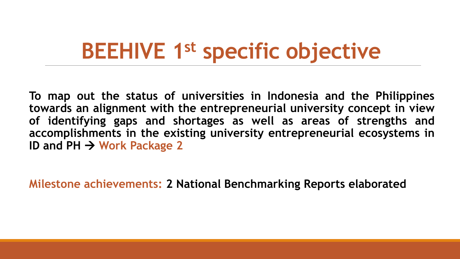## **BEEHIVE 1st specific objective**

**To map out the status of universities in Indonesia and the Philippines towards an alignment with the entrepreneurial university concept in view of identifying gaps and shortages as well as areas of strengths and accomplishments in the existing university entrepreneurial ecosystems in ID and PH Work Package 2**

**Milestone achievements: 2 National Benchmarking Reports elaborated**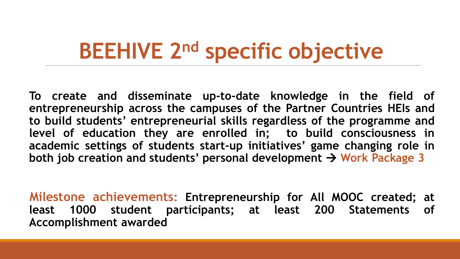#### **BEEHIVE 2nd specific objective**

**To create and disseminate up-to-date knowledge in the field of entrepreneurship across the campuses of the Partner Countries HEIs and to build students' entrepreneurial skills regardless of the programme and level of education they are enrolled in; to build consciousness in academic settings of students start-up initiatives' game changing role in both job creation and students' personal development Work Package 3**

**Milestone achievements: Entrepreneurship for All MOOC created; at least 1000 student participants; at least 200 Statements of Accomplishment awarded**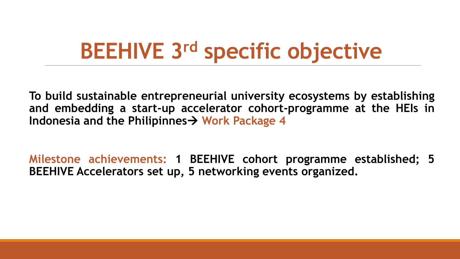## **BEEHIVE 3rd specific objective**

**To build sustainable entrepreneurial university ecosystems by establishing and embedding a start-up accelerator cohort-programme at the HEIs in Indonesia and the Philipinnes**  $\rightarrow$  Work Package 4

**Milestone achievements: 1 BEEHIVE cohort programme established; 5 BEEHIVE Accelerators set up, 5 networking events organized.**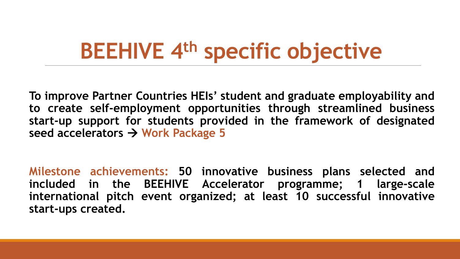## **BEEHIVE 4th specific objective**

**To improve Partner Countries HEIs' student and graduate employability and to create self-employment opportunities through streamlined business start-up support for students provided in the framework of designated seed accelerators Work Package 5**

**Milestone achievements: 50 innovative business plans selected and included in the BEEHIVE Accelerator programme; 1 large-scale international pitch event organized; at least 10 successful innovative start-ups created.**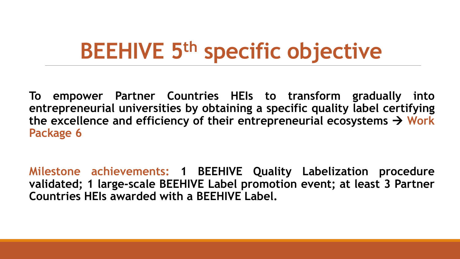## **BEEHIVE 5th specific objective**

**To empower Partner Countries HEIs to transform gradually into entrepreneurial universities by obtaining a specific quality label certifying** the excellence and efficiency of their entrepreneurial ecosystems  $\rightarrow$  Work **Package 6**

**Milestone achievements: 1 BEEHIVE Quality Labelization procedure validated; 1 large-scale BEEHIVE Label promotion event; at least 3 Partner Countries HEIs awarded with a BEEHIVE Label.**